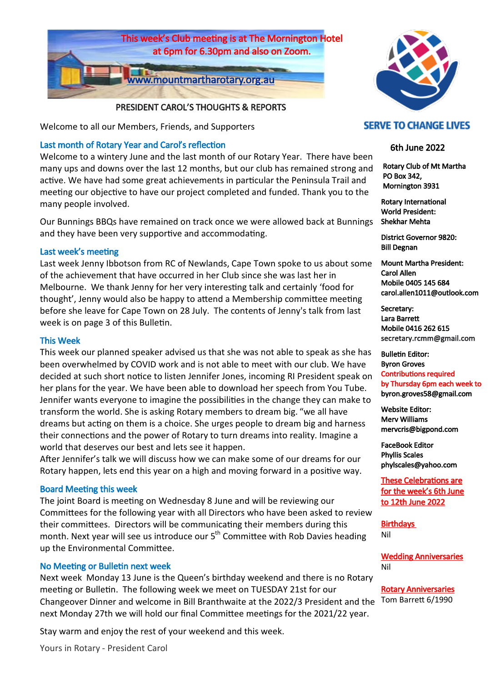

## PRESIDENT CAROL'S THOUGHTS & REPORTS

Welcome to all our Members, Friends, and Supporters

## Last month of Rotary Year and Carol's reflection

Welcome to a wintery June and the last month of our Rotary Year. There have been many ups and downs over the last 12 months, but our club has remained strong and active. We have had some great achievements in particular the Peninsula Trail and meeting our objective to have our project completed and funded. Thank you to the many people involved.

Our Bunnings BBQs have remained on track once we were allowed back at Bunnings and they have been very supportive and accommodating.

## Last week's meeting

Last week Jenny Ibbotson from RC of Newlands, Cape Town spoke to us about some of the achievement that have occurred in her Club since she was last her in Melbourne. We thank Jenny for her very interesting talk and certainly 'food for thought', Jenny would also be happy to attend a Membership committee meeting before she leave for Cape Town on 28 July. The contents of Jenny's talk from last week is on page 3 of this Bulletin.

#### This Week

This week our planned speaker advised us that she was not able to speak as she has been overwhelmed by COVID work and is not able to meet with our club. We have decided at such short notice to listen Jennifer Jones, incoming RI President speak on her plans for the year. We have been able to download her speech from You Tube. Jennifer wants everyone to imagine the possibilities in the change they can make to transform the world. She is asking Rotary members to dream big. "we all have dreams but acting on them is a choice. She urges people to dream big and harness their connections and the power of Rotary to turn dreams into reality. Imagine a world that deserves our best and lets see it happen.

After Jennifer's talk we will discuss how we can make some of our dreams for our Rotary happen, lets end this year on a high and moving forward in a positive way.

## Board Meeting this week

The joint Board is meeting on Wednesday 8 June and will be reviewing our Committees for the following year with all Directors who have been asked to review their committees. Directors will be communicating their members during this month. Next year will see us introduce our  $5<sup>th</sup>$  Committee with Rob Davies heading up the Environmental Committee.

## No Meeting or Bulletin next week

Changeover Dinner and welcome in Bill Branthwaite at the 2022/3 President and the Tom Barrett 6/1990 Next week Monday 13 June is the Queen's birthday weekend and there is no Rotary meeting or Bulletin. The following week we meet on TUESDAY 21st for our next Monday 27th we will hold our final Committee meetings for the 2021/22 year.

Stay warm and enjoy the rest of your weekend and this week.

Yours in Rotary - President Carol



## **SERVE TO CHANGE LIVES**

## 6th June 2022

 Rotary Club of Mt Martha PO Box 342, Mornington 3931

Rotary International World President: Shekhar Mehta

District Governor 9820: Bill Degnan

Mount Martha President: Carol Allen Mobile 0405 145 684 carol.allen1011@outlook.com

Secretary: Lara Barrett Mobile 0416 262 615 secretary.rcmm@gmail.com

Bulletin Editor: Byron Groves Contributions required by Thursday 6pm each week to byron.groves58@gmail.com

Website Editor: Merv Williams mervcris@bigpond.com

FaceBook Editor Phyllis Scales phylscales@yahoo.com

These Celebrations are for the week's 6th June to 12th June 2022

Birthdays Nil

Wedding Anniversaries Nil

Rotary Anniversaries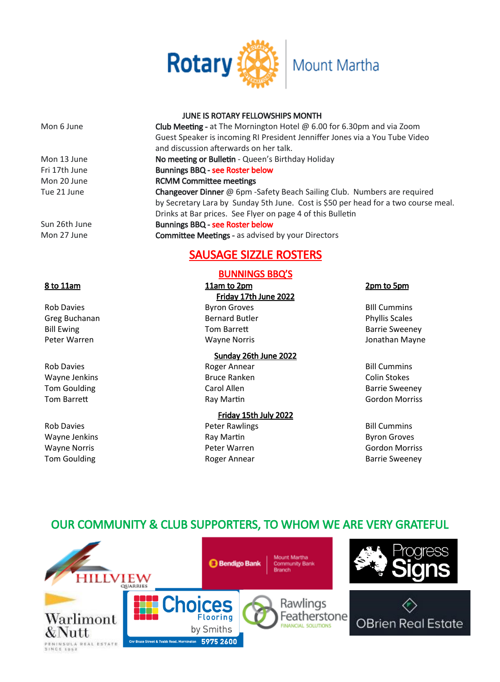

## JUNE IS ROTARY FELLOWSHIPS MONTH

| Mon 6 June    | <b>Club Meeting -</b> at The Mornington Hotel $\omega$ 6.00 for 6.30pm and via Zoom |
|---------------|-------------------------------------------------------------------------------------|
|               | Guest Speaker is incoming RI President Jenniffer Jones via a You Tube Video         |
|               | and discussion afterwards on her talk.                                              |
| Mon 13 June   | No meeting or Bulletin - Queen's Birthday Holiday                                   |
| Fri 17th June | <b>Bunnings BBQ - see Roster below</b>                                              |
| Mon 20 June   | <b>RCMM Committee meetings</b>                                                      |
| Tue 21 June   | Changeover Dinner @ 6pm - Safety Beach Sailing Club. Numbers are required           |
|               | by Secretary Lara by Sunday 5th June. Cost is \$50 per head for a two course meal.  |
|               | Drinks at Bar prices. See Flyer on page 4 of this Bulletin                          |
| Sun 26th June | <b>Bunnings BBQ - see Roster below</b>                                              |
| Mon 27 June   | <b>Committee Meetings - as advised by your Directors</b>                            |
|               | <b>SAUSAGE SIZZLE ROSTERS</b>                                                       |
|               |                                                                                     |

## BUNNINGS BBQ'S

8 to 11am 11am to 2pm 2pm to 5pm Friday 17th June 2022 Rob Davies **Byron Groves** Byron Groves **BILL Cummins** Greg Buchanan **Bernard Butler Bernard Butler Phyllis Scales Phyllis Scales** Bill Ewing Tom Barrett **Barrie Sweeney** Tom Barrett **Barrie Sweeney** Barrie Sweeney Peter Warren Wayne Norris Jonathan Mayne

Sunday 26th June 2022 Rob Davies **Rob Davies Rob Davies Rob Davies Rob Bill Cummins** Wayne Jenkins Bruce Ranken Colin Stokes Tom Goulding The Carol Allen Carol Allen Carol Allen Barrie Sweeney Tom Barrett **Ray Martin Communist Communist Communist Communist Communist Communist Communist Communist Communist Communist Communist Communist Communist Communist Communist Communist Communist Communist Communist Communis** 

Friday 15th July 2022 Rob Davies **Rob Davies Peter Rawlings Bill Cummins Bill Cummins** Wayne Jenkins **Ray Martin** Ray Martin **Ray Martin** Byron Groves Wayne Norris Peter Warren Gordon Morriss Tom Goulding The Roger Annear The Barrie Sweeney

# OUR COMMUNITY & CLUB SUPPORTERS, TO WHOM WE ARE VERY GRATEFUL

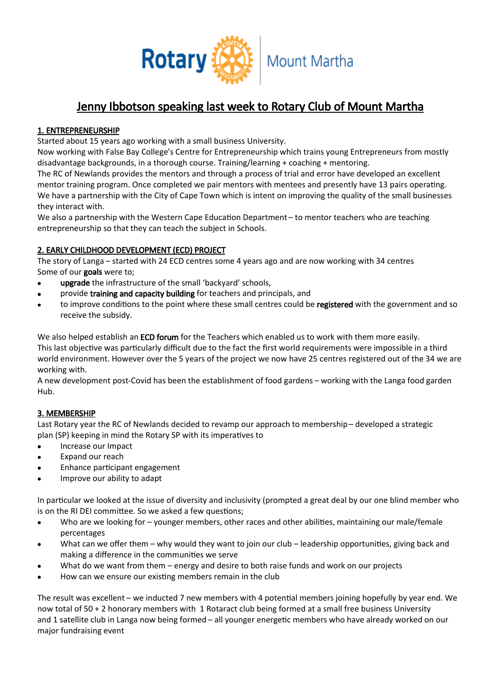

## Jenny Ibbotson speaking last week to Rotary Club of Mount Martha

## 1. ENTREPRENEURSHIP

Started about 15 years ago working with a small business University.

Now working with False Bay College's Centre for Entrepreneurship which trains young Entrepreneurs from mostly disadvantage backgrounds, in a thorough course. Training/learning + coaching + mentoring.

The RC of Newlands provides the mentors and through a process of trial and error have developed an excellent mentor training program. Once completed we pair mentors with mentees and presently have 13 pairs operating. We have a partnership with the City of Cape Town which is intent on improving the quality of the small businesses they interact with.

We also a partnership with the Western Cape Education Department – to mentor teachers who are teaching entrepreneurship so that they can teach the subject in Schools.

## 2. EARLY CHILDHOOD DEVELOPMENT (ECD) PROJECT

The story of Langa – started with 24 ECD centres some 4 years ago and are now working with 34 centres Some of our goals were to;

- upgrade the infrastructure of the small 'backyard' schools,
- provide training and capacity building for teachers and principals, and
- to improve conditions to the point where these small centres could be registered with the government and so  $\bullet$ receive the subsidy.

We also helped establish an ECD forum for the Teachers which enabled us to work with them more easily. This last objective was particularly difficult due to the fact the first world requirements were impossible in a third world environment. However over the 5 years of the project we now have 25 centres registered out of the 34 we are

working with. A new development post-Covid has been the establishment of food gardens – working with the Langa food garden Hub.

## 3. MEMBERSHIP

Last Rotary year the RC of Newlands decided to revamp our approach to membership – developed a strategic plan (SP) keeping in mind the Rotary SP with its imperatives to

- Increase our Impact
- Expand our reach
- Enhance participant engagement
- Improve our ability to adapt  $\bullet$

In particular we looked at the issue of diversity and inclusivity (prompted a great deal by our one blind member who is on the RI DEI committee. So we asked a few questions;

- Who are we looking for younger members, other races and other abilities, maintaining our male/female percentages
- What can we offer them why would they want to join our club leadership opportunities, giving back and  $\bullet$ making a difference in the communities we serve
- What do we want from them energy and desire to both raise funds and work on our projects
- How can we ensure our existing members remain in the club

The result was excellent – we inducted 7 new members with 4 potential members joining hopefully by year end. We now total of 50 + 2 honorary members with 1 Rotaract club being formed at a small free business University and 1 satellite club in Langa now being formed – all younger energetic members who have already worked on our major fundraising event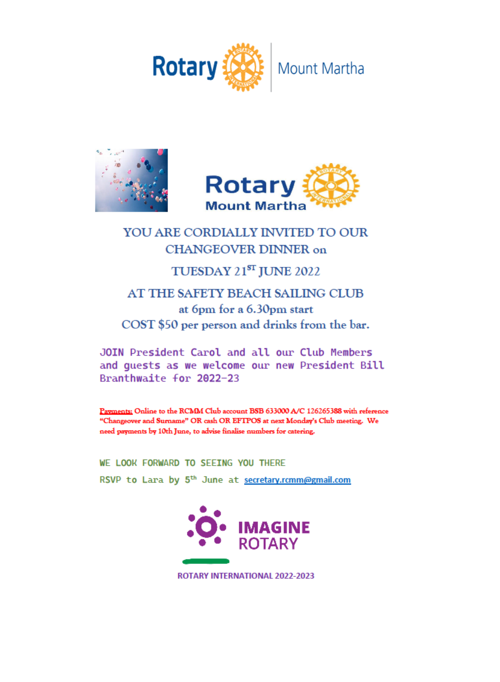





# YOU ARE CORDIALLY INVITED TO OUR **CHANGEOVER DINNER on**

# TUESDAY 21ST JUNE 2022

## AT THE SAFETY BEACH SAILING CLUB at 6pm for a 6.30pm start COST \$50 per person and drinks from the bar.

JOIN President Carol and all our Club Members and quests as we welcome our new President Bill Branthwaite for 2022-23

Payments: Online to the RCMM Club account BSB 633000 A/C 126265388 with reference "Changeover and Surname" OR cash OR EFTPOS at next Monday's Club meeting. We need payments by 10th June, to advise finalise numbers for catering.

WE LOOK FORWARD TO SEEING YOU THERE RSVP to Lara by 5<sup>th</sup> June at secretary.rcmm@gmail.com



**ROTARY INTERNATIONAL 2022-2023**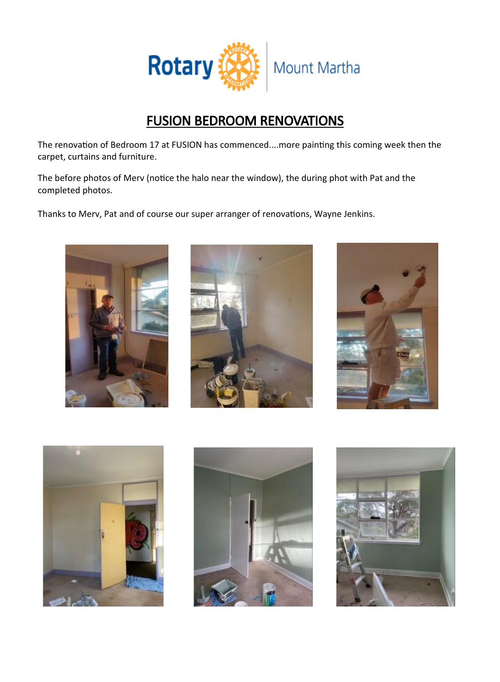

# FUSION BEDROOM RENOVATIONS

The renovation of Bedroom 17 at FUSION has commenced....more painting this coming week then the carpet, curtains and furniture.

The before photos of Merv (notice the halo near the window), the during phot with Pat and the completed photos.

Thanks to Merv, Pat and of course our super arranger of renovations, Wayne Jenkins.